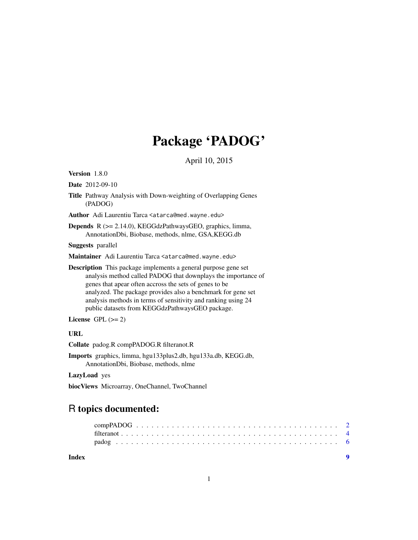# Package 'PADOG'

April 10, 2015

Version 1.8.0

Date 2012-09-10

Title Pathway Analysis with Down-weighting of Overlapping Genes (PADOG)

Author Adi Laurentiu Tarca <atarca@med.wayne.edu>

Depends R (>= 2.14.0), KEGGdzPathwaysGEO, graphics, limma, AnnotationDbi, Biobase, methods, nlme, GSA,KEGG.db

Suggests parallel

Maintainer Adi Laurentiu Tarca <atarca@med.wayne.edu>

**Description** This package implements a general purpose gene set analysis method called PADOG that downplays the importance of genes that apear often accross the sets of genes to be analyzed. The package provides also a benchmark for gene set analysis methods in terms of sensitivity and ranking using 24 public datasets from KEGGdzPathwaysGEO package.

License GPL  $(>= 2)$ 

# URL

Collate padog.R compPADOG.R filteranot.R

Imports graphics, limma, hgu133plus2.db, hgu133a.db, KEGG.db, AnnotationDbi, Biobase, methods, nlme

LazyLoad yes

biocViews Microarray, OneChannel, TwoChannel

# R topics documented:

| <b>Index</b> |  |  |  |  |  |  |  |  |  |  |  |  |  |  |  |  |  |  |  |
|--------------|--|--|--|--|--|--|--|--|--|--|--|--|--|--|--|--|--|--|--|
|              |  |  |  |  |  |  |  |  |  |  |  |  |  |  |  |  |  |  |  |
|              |  |  |  |  |  |  |  |  |  |  |  |  |  |  |  |  |  |  |  |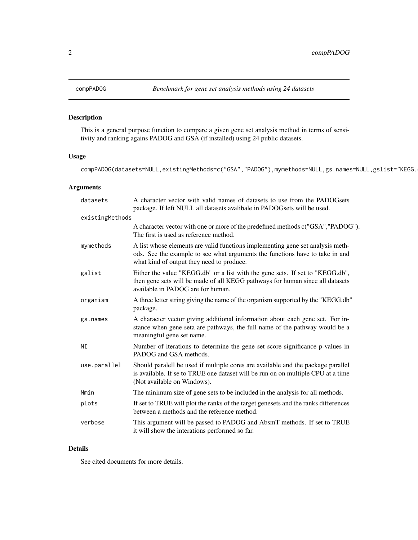#### Description

This is a general purpose function to compare a given gene set analysis method in terms of sensitivity and ranking agains PADOG and GSA (if installed) using 24 public datasets.

#### Usage

compPADOG(datasets=NULL,existingMethods=c("GSA","PADOG"),mymethods=NULL,gs.names=NULL,gslist="KEGG.

#### Arguments

| datasets        | A character vector with valid names of datasets to use from the PADOGsets<br>package. If left NULL all datasets avalibale in PADOGsets will be used.                                                        |
|-----------------|-------------------------------------------------------------------------------------------------------------------------------------------------------------------------------------------------------------|
| existingMethods |                                                                                                                                                                                                             |
|                 | A character vector with one or more of the predefined methods c("GSA", "PADOG").<br>The first is used as reference method.                                                                                  |
| mymethods       | A list whose elements are valid functions implementing gene set analysis meth-<br>ods. See the example to see what arguments the functions have to take in and<br>what kind of output they need to produce. |
| gslist          | Either the value "KEGG.db" or a list with the gene sets. If set to "KEGG.db",<br>then gene sets will be made of all KEGG pathways for human since all datasets<br>available in PADOG are for human.         |
| organism        | A three letter string giving the name of the organism supported by the "KEGG.db"<br>package.                                                                                                                |
| gs.names        | A character vector giving additional information about each gene set. For in-<br>stance when gene seta are pathways, the full name of the pathway would be a<br>meaningful gene set name.                   |
| NI              | Number of iterations to determine the gene set score significance p-values in<br>PADOG and GSA methods.                                                                                                     |
| use.parallel    | Should paralell be used if multiple cores are available and the package parallel<br>is available. If se to TRUE one dataset will be run on on multiple CPU at a time<br>(Not available on Windows).         |
| Nmin            | The minimum size of gene sets to be included in the analysis for all methods.                                                                                                                               |
| plots           | If set to TRUE will plot the ranks of the target genesets and the ranks differences<br>between a methods and the reference method.                                                                          |
| verbose         | This argument will be passed to PADOG and AbsmT methods. If set to TRUE<br>it will show the interations performed so far.                                                                                   |

#### Details

See cited documents for more details.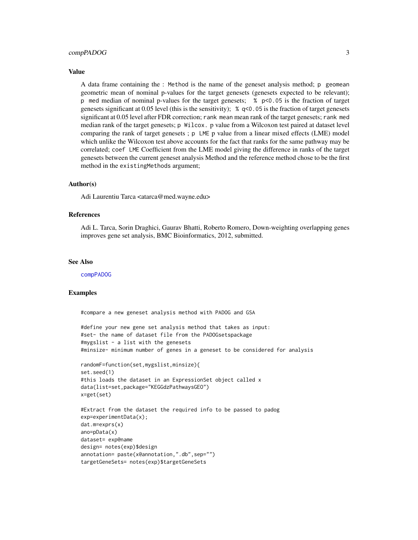#### compPADOG 3

#### Value

A data frame containing the : Method is the name of the geneset analysis method; p geomean geometric mean of nominal p-values for the target genesets (genesets expected to be relevant); p med median of nominal p-values for the target genesets; % p<0.05 is the fraction of target genesets significant at 0.05 level (this is the sensitivity); % q<0.05 is the fraction of target genesets significant at 0.05 level after FDR correction; rank mean mean rank of the target genesets; rank med median rank of the target genesets; p Wilcox. p value from a Wilcoxon test paired at dataset level comparing the rank of target genesets ; p LME p value from a linear mixed effects (LME) model which unlike the Wilcoxon test above accounts for the fact that ranks for the same pathway may be correlated; coef LME Coefficient from the LME model giving the difference in ranks of the target genesets between the current geneset analysis Method and the reference method chose to be the first method in the existingMethods argument;

#### Author(s)

Adi Laurentiu Tarca <atarca@med.wayne.edu>

#### References

Adi L. Tarca, Sorin Draghici, Gaurav Bhatti, Roberto Romero, Down-weighting overlapping genes improves gene set analysis, BMC Bioinformatics, 2012, submitted.

#### See Also

[compPADOG](#page-1-1)

#### Examples

#compare a new geneset analysis method with PADOG and GSA

```
#define your new gene set analysis method that takes as input:
#set- the name of dataset file from the PADOGsetspackage
#mygslist - a list with the genesets
#minsize- minimum number of genes in a geneset to be considered for analysis
```

```
randomF=function(set,mygslist,minsize){
set.seed(1)
#this loads the dataset in an ExpressionSet object called x
data(list=set,package="KEGGdzPathwaysGEO")
x=get(set)
```

```
#Extract from the dataset the required info to be passed to padog
exp=experimentData(x);
dat.m=exprs(x)
ano=pData(x)
dataset= exp@name
design= notes(exp)$design
annotation= paste(x@annotation,".db",sep="")
targetGeneSets= notes(exp)$targetGeneSets
```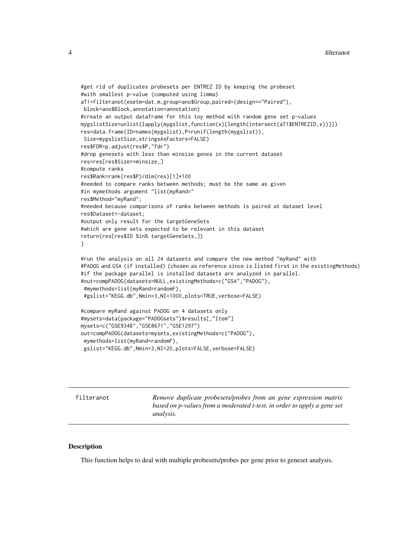```
#get rid of duplicates probesets per ENTREZ ID by keeping the probeset
#with smallest p-value (computed using limma)
aT1=filteranot(esetm=dat.m,group=ano$Group,paired=(design=="Paired"),
block=ano$Block,annotation=annotation)
#create an output dataframe for this toy method with random gene set p-values
mygslistSize=unlist(lapply(mygslist,function(x){length(intersect(aT1$ENTREZID,x))}))
res=data.frame(ID=names(mygslist),P=runif(length(mygslist)),
Size=mygslistSize,stringsAsFactors=FALSE)
res$FDR=p.adjust(res$P,"fdr")
#drop genesets with less than minsize genes in the current dataset
res=res[res$Size>=minsize,]
#compute ranks
res$Rank=rank(res$P)/dim(res)[1]*100
#needed to compare ranks between methods; must be the same as given
#in mymethods argument "list(myRand="
res$Method="myRand";
#needed because comparisons of ranks between methods is paired at dataset level
res$Dataset<-dataset;
#output only result for the targetGeneSets
#which are gene sets expected to be relevant in this dataset
return(res[res$ID %in% targetGeneSets,])
}
#run the analysis on all 24 datasets and compare the new method "myRand" with
#PADOG and GSA (if installed) (chosen as reference since is listed first in the existingMethods)
#if the package parallel is installed datasets are analyzed in parallel.
#out=compPADOG(datasets=NULL,existingMethods=c("GSA","PADOG"),
#mymethods=list(myRand=randomF),
#gslist="KEGG.db",Nmin=3,NI=1000,plots=TRUE,verbose=FALSE)
#compare myRand against PADOG on 4 datasets only
#mysets=data(package="PADOGsets")$results[,"Item"]
mysets=c("GSE9348","GSE8671","GSE1297")
out=compPADOG(datasets=mysets,existingMethods=c("PADOG"),
```

```
mymethods=list(myRand=randomF),
```

```
gslist="KEGG.db",Nmin=3,NI=20,plots=FALSE,verbose=FALSE)
```
filteranot *Remove duplicate probesets/probes from an gene expression matrix based on p-values from a moderated t-test, in order to apply a gene set analysis.*

#### Description

This function helps to deal with multiple probesets/probes per gene prior to geneset analysis.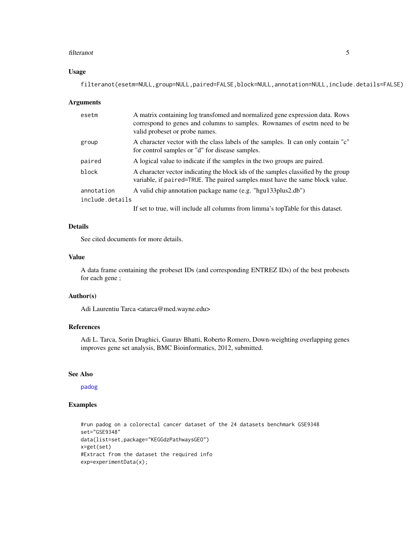#### filteranot 5

#### Usage

filteranot(esetm=NULL,group=NULL,paired=FALSE,block=NULL,annotation=NULL,include.details=FALSE)

#### Arguments

| esetm                         | A matrix containing log transfomed and normalized gene expression data. Rows<br>correspond to genes and columns to samples. Rownames of esetm need to be<br>valid probeset or probe names. |
|-------------------------------|--------------------------------------------------------------------------------------------------------------------------------------------------------------------------------------------|
| group                         | A character vector with the class labels of the samples. It can only contain "c"<br>for control samples or "d" for disease samples.                                                        |
| paired                        | A logical value to indicate if the samples in the two groups are paired.                                                                                                                   |
| block                         | A character vector indicating the block ids of the samples classified by the group<br>variable, if paired=TRUE. The paired samples must have the same block value.                         |
| annotation<br>include.details | A valid chip annotation package name (e.g. "hgu133plus2.db")                                                                                                                               |

If set to true, will include all columns from limma's topTable for this dataset.

#### Details

See cited documents for more details.

#### Value

A data frame containing the probeset IDs (and corresponding ENTREZ IDs) of the best probesets for each gene ;

#### Author(s)

Adi Laurentiu Tarca <atarca@med.wayne.edu>

#### References

Adi L. Tarca, Sorin Draghici, Gaurav Bhatti, Roberto Romero, Down-weighting overlapping genes improves gene set analysis, BMC Bioinformatics, 2012, submitted.

#### See Also

[padog](#page-5-1)

## Examples

```
#run padog on a colorectal cancer dataset of the 24 datasets benchmark GSE9348
set="GSE9348"
data(list=set,package="KEGGdzPathwaysGEO")
x=get(set)
#Extract from the dataset the required info
exp=experimentData(x);
```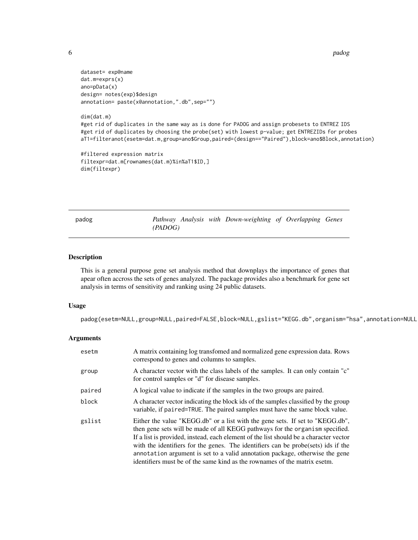6 padog na bandara ng mga banda na mga banda na mga banda na mga banda na mga banda na mga banda na mga banda n

```
dataset= exp@name
dat.m=exprs(x)
ano=pData(x)
design= notes(exp)$design
annotation= paste(x@annotation,".db",sep="")
```
#### dim(dat.m)

#get rid of duplicates in the same way as is done for PADOG and assign probesets to ENTREZ IDS #get rid of duplicates by choosing the probe(set) with lowest p-value; get ENTREZIDs for probes aT1=filteranot(esetm=dat.m,group=ano\$Group,paired=(design=="Paired"),block=ano\$Block,annotation)

```
#filtered expression matrix
filtexpr=dat.m[rownames(dat.m)%in%aT1$ID,]
dim(filtexpr)
```
<span id="page-5-1"></span>

| padog |         |  | Pathway Analysis with Down-weighting of Overlapping Genes |  |  |
|-------|---------|--|-----------------------------------------------------------|--|--|
|       | (PADOG) |  |                                                           |  |  |

#### Description

This is a general purpose gene set analysis method that downplays the importance of genes that apear often accross the sets of genes analyzed. The package provides also a benchmark for gene set analysis in terms of sensitivity and ranking using 24 public datasets.

#### Usage

padog(esetm=NULL,group=NULL,paired=FALSE,block=NULL,gslist="KEGG.db",organism="hsa",annotation=NULL

#### Arguments

| esetm  | A matrix containing log transfomed and normalized gene expression data. Rows<br>correspond to genes and columns to samples.                                                                                                                                                                                                                                                                                                                                                                              |
|--------|----------------------------------------------------------------------------------------------------------------------------------------------------------------------------------------------------------------------------------------------------------------------------------------------------------------------------------------------------------------------------------------------------------------------------------------------------------------------------------------------------------|
| group  | A character vector with the class labels of the samples. It can only contain "c"<br>for control samples or "d" for disease samples.                                                                                                                                                                                                                                                                                                                                                                      |
| paired | A logical value to indicate if the samples in the two groups are paired.                                                                                                                                                                                                                                                                                                                                                                                                                                 |
| block  | A character vector indicating the block ids of the samples classified by the group<br>variable, if paired=TRUE. The paired samples must have the same block value.                                                                                                                                                                                                                                                                                                                                       |
| gslist | Either the value "KEGG.db" or a list with the gene sets. If set to "KEGG.db",<br>then gene sets will be made of all KEGG pathways for the organism specified.<br>If a list is provided, instead, each element of the list should be a character vector<br>with the identifiers for the genes. The identifiers can be probe(sets) ids if the<br>annotation argument is set to a valid annotation package, otherwise the gene<br>identifiers must be of the same kind as the rownames of the matrix esetm. |

<span id="page-5-0"></span>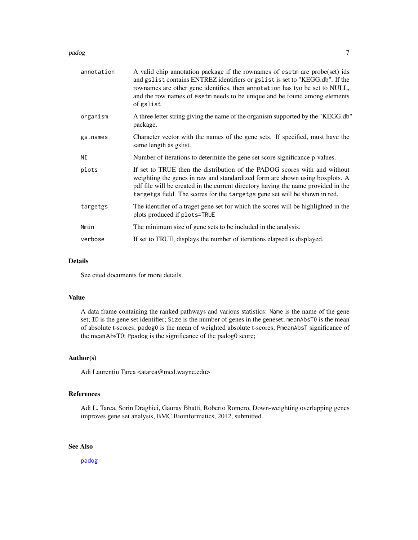#### padog *7* and *7* and *7* and *7* and *7* and *7* and *7* and *7* and *7* and *7* and *7* and *7* and *7* and *7* and *7* and *7* and *7* and *7* and *7* and *7* and *7* and *7* and *7* and *7* and *7* and *7* and *7* and

| annotation | A valid chip annotation package if the rownames of esetm are probe(set) ids<br>and gslist contains ENTREZ identifiers or gslist is set to "KEGG.db". If the<br>rownames are other gene identifies, then annotation has tyo be set to NULL,<br>and the row names of esetm needs to be unique and be found among elements<br>of gslist |
|------------|--------------------------------------------------------------------------------------------------------------------------------------------------------------------------------------------------------------------------------------------------------------------------------------------------------------------------------------|
| organism   | A three letter string giving the name of the organism supported by the "KEGG.db"<br>package.                                                                                                                                                                                                                                         |
| gs.names   | Character vector with the names of the gene sets. If specified, must have the<br>same length as gslist.                                                                                                                                                                                                                              |
| ΝI         | Number of iterations to determine the gene set score significance p-values.                                                                                                                                                                                                                                                          |
| plots      | If set to TRUE then the distribution of the PADOG scores with and without<br>weighting the genes in raw and standardized form are shown using boxplots. A<br>pdf file will be created in the current directory having the name provided in the<br>targetgs field. The scores for the targetgs gene set will be shown in red.         |
| targetgs   | The identifier of a traget gene set for which the scores will be highlighted in the<br>plots produced if plots=TRUE                                                                                                                                                                                                                  |
| Nmin       | The minimum size of gene sets to be included in the analysis.                                                                                                                                                                                                                                                                        |
| verbose    | If set to TRUE, displays the number of iterations elapsed is displayed.                                                                                                                                                                                                                                                              |

#### Details

See cited documents for more details.

#### Value

A data frame containing the ranked pathways and various statistics: Name is the name of the gene set; ID is the gene set identifier; Size is the number of genes in the geneset; meanAbsT0 is the mean of absolute t-scores; padog0 is the mean of weighted absolute t-scores; PmeanAbsT significance of the meanAbsT0; Ppadog is the significance of the padog0 score;

#### Author(s)

Adi Laurentiu Tarca <atarca@med.wayne.edu>

## References

Adi L. Tarca, Sorin Draghici, Gaurav Bhatti, Roberto Romero, Down-weighting overlapping genes improves gene set analysis, BMC Bioinformatics, 2012, submitted.

## See Also

[padog](#page-5-1)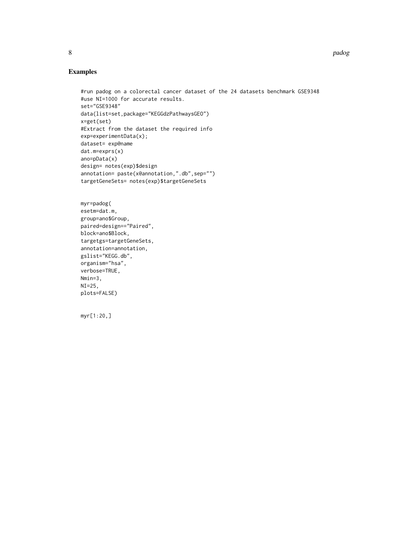# Examples

```
#run padog on a colorectal cancer dataset of the 24 datasets benchmark GSE9348
#use NI=1000 for accurate results.
set="GSE9348"
data(list=set,package="KEGGdzPathwaysGEO")
x=get(set)
#Extract from the dataset the required info
exp=experimentData(x);
dataset= exp@name
dat.m=exprs(x)
ano=pData(x)
design= notes(exp)$design
annotation= paste(x@annotation,".db",sep="")
targetGeneSets= notes(exp)$targetGeneSets
```

```
myr=padog(
esetm=dat.m,
group=ano$Group,
paired=design=="Paired",
block=ano$Block,
targetgs=targetGeneSets,
annotation=annotation,
gslist="KEGG.db",
organism="hsa",
verbose=TRUE,
Nmin=3,
NI=25,plots=FALSE)
```
myr[1:20,]